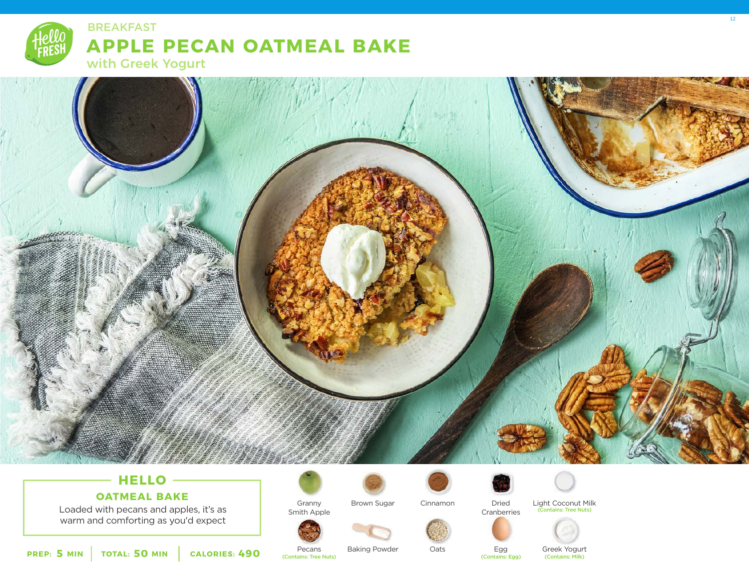



# **HELLO**

# **OATMEAL BAKE**

Loaded with pecans and apples, it's as warm and comforting as you'd expect



Smith Apple

Brown Sugar



Cranberries Cinnamon



Oats



Dried



Light Coconut Milk (Contains: Tree Nuts)



**PREP: 5 MIN TOTAL: 50 MIN CALORIES: 490**

Pecans (Contains: Tree Nuts)

Baking Powder

Egg<br>(Contains: Egg)

Greek Yogurt<br>(Contains: Milk)